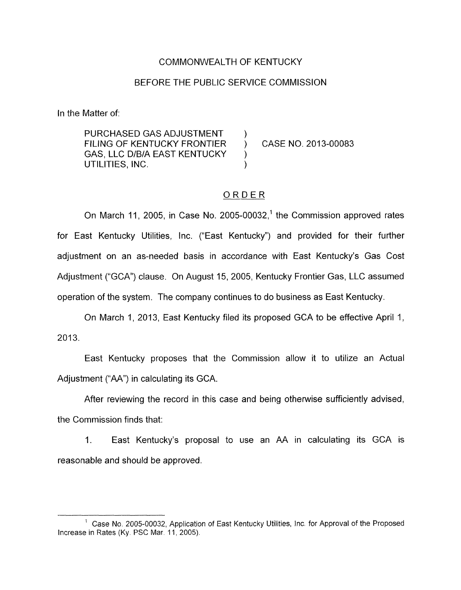## COMMONWEALTH OF KENTUCKY

#### BEFORE THE PUBLIC SERVICE COMMISSION

In the Matter of:

PURCHASED GAS ADJUSTMENT GAS, LLC D/B/A EAST KENTUCKY ) FILING OF KENTUCKY FRONTIER ) CASE NO. 2013-00083 UTILITIES, INC. )

## ORDER

On March 11, 2005, in Case No. 2005-00032,<sup>1</sup> the Commission approved rates for East Kentucky Utilities, Inc. ("East Kentucky") and provided for their further adjustment on an as-needed basis in accordance with East Kentucky's Gas Cost Adjustment ("GCA") clause. On August 15, 2005, Kentucky Frontier Gas, LLC assumed operation of the system. The company continues to do business as East Kentucky.

On March 1, 2013, East Kentucky filed its proposed GCA to be effective April 1, 2013.

East Kentucky proposes that the Commission allow it to utilize an Actual Adjustment ("AA") in calculating its GCA.

After reviewing the record in this case and being otherwise sufficiently advised, the Commission finds that:

1. East Kentucky's proposal to use an AA in calculating its GCA is reasonable and should be approved.

<sup>&</sup>lt;sup>1</sup> Case No. 2005-00032, Application of East Kentucky Utilities, Inc. for Approval of the Proposed Increase in Rates (Ky. PSC Mar. 11, 2005).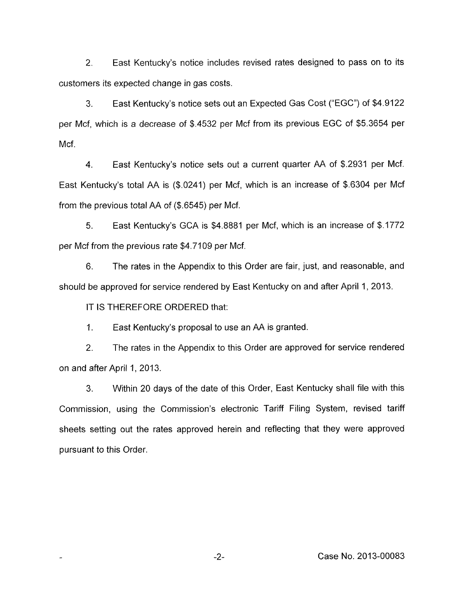2. East Kentucky's notice includes revised rates designed to pass on to its customers its expected change in gas costs.

3. East Kentucky's notice sets out an Expected Gas Cost ("EGC") of \$4.9122 per Mcf, which is a decrease of \$.4532 per Mcf from its previous EGC of \$5.3654 per Mcf.

4. East Kentucky's notice sets out a current quarter AA of \$.2931 per Mcf. East Kentucky's total AA is (\$.0241) per Mcf, which is an increase of \$.6304 per Mcf from the previous total AA of  $(\$.6545)$  per Mcf.

5. East Kentucky's GCA is \$4.8881 per Mcf, which is an increase of \$1772 per Mcf from the previous rate \$4.7109 per Mcf.

6. The rates in the Appendix to this Order are fair, just, and reasonable, and should be approved for service rendered by East Kentucky on and after April 1, 2013.

IT IS THEREFORE ORDERED that:

1. East Kentucky's proposal to use an AA is granted.

2. The rates in the Appendix to this Order are approved for service rendered on and after April 1, 2013.

3. Within 20 days of the date of this Order, East Kentucky shall file with this Commission, using the Commission's electronic Tariff Filing System, revised tariff sheets setting out the rates approved herein and reflecting that they were approved pursuant to this Order.

-2- Case No. 2013-00083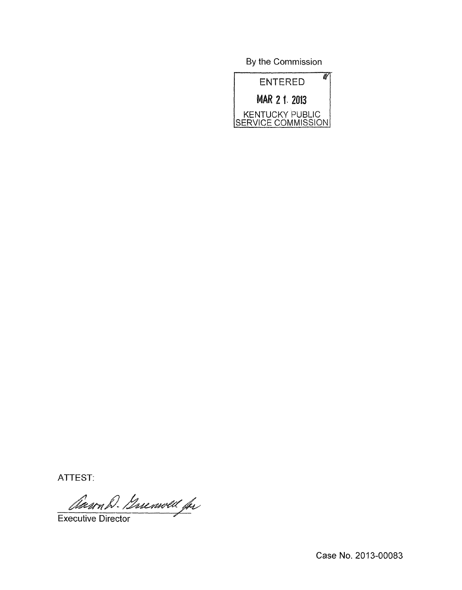By the Commission



ATTEST:

Claron D. Gerenwell for

Executive Director

Case No. 2013-00083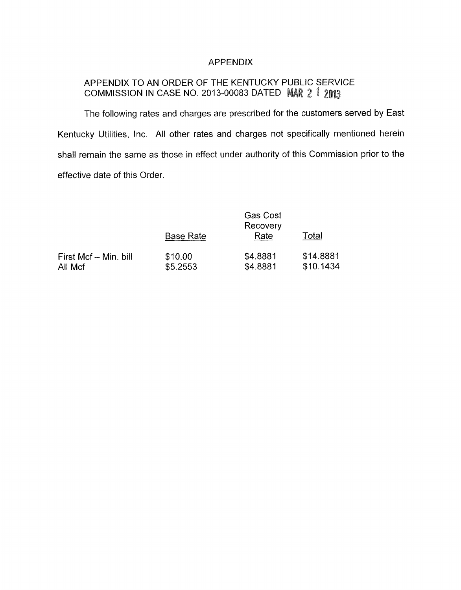## APPENDIX

# APPENDIX TO AN ORDER OF THE KENTUCKY PUBLIC SERVICE COMMISSION IN CASE NO. 2013-00083 DATED MAR 2 1 2013

The following rates and charges are prescribed for the customers served by East Kentucky Utilities, Inc. All other rates and charges not specifically mentioned herein shall remain the same as those in effect under authority of this Commission prior to the effective date of this Order.

|                                  |                     | Gas Cost<br>Recovery |                        |  |
|----------------------------------|---------------------|----------------------|------------------------|--|
|                                  | <b>Base Rate</b>    | Rate                 | Total                  |  |
| First Mcf - Min. bill<br>All Mcf | \$10.00<br>\$5.2553 | \$4.8881<br>\$4.8881 | \$14.8881<br>\$10.1434 |  |